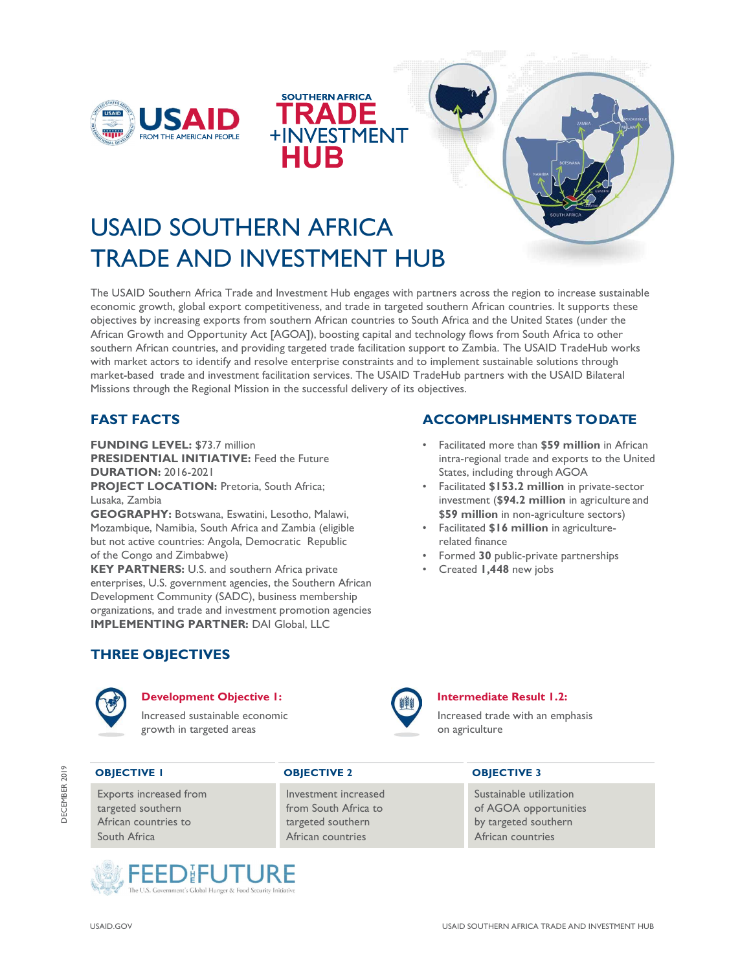





# USAID SOUTHERN AFRICA TRADE AND INVESTMENT HUB

The USAID Southern Africa Trade and Investment Hub engages with partners across the region to increase sustainable economic growth, global export competitiveness, and trade in targeted southern African countries. It supports these objectives by increasing exports from southern African countries to South Africa and the United States (under the African Growth and Opportunity Act [AGOA]), boosting capital and technology flows from South Africa to other southern African countries, and providing targeted trade facilitation support to Zambia. The USAID TradeHub works with market actors to identify and resolve enterprise constraints and to implement sustainable solutions through market-based trade and investment facilitation services. The USAID TradeHub partners with the USAID Bilateral Missions through the Regional Mission in the successful delivery of its objectives.

# FAST FACTS

FUNDING LEVEL: \$73.7 million PRESIDENTIAL INITIATIVE: Feed the Future DURATION: 2016-2021

PROJECT LOCATION: Pretoria, South Africa; Lusaka, Zambia

GEOGRAPHY: Botswana, Eswatini, Lesotho, Malawi, Mozambique, Namibia, South Africa and Zambia (eligible but not active countries: Angola, Democratic Republic of the Congo and Zimbabwe)

KEY PARTNERS: U.S. and southern Africa private enterprises, U.S. government agencies, the Southern African Development Community (SADC), business membership organizations, and trade and investment promotion agencies IMPLEMENTING PARTNER: DAI Global, LLC

# ACCOMPLISHMENTS TO DATE

- Facilitated more than **\$59 million** in African intra-regional trade and exports to the United States, including through AGOA
- Facilitated \$153.2 million in private-sector investment (\$94.2 million in agriculture and \$59 million in non-agriculture sectors)
- Facilitated \$16 million in agriculturerelated finance
- Formed 30 public-private partnerships
- Created 1,448 new jobs

# THREE OBJECTIVES



# Development Objective 1: **Intermediate Result 1.2:**

Increased sustainable economic growth in targeted areas



Increased trade with an emphasis on agriculture

Exports increased from **Investment increased** Sustainable utilization African countries to the targeted southern by targeted southern by targeted southern **OBJECTIVE I**<br>
South Africa African countries to<br>
South Africa African countries to<br>
South Africa African countries African countries<br>
African countries African countries

# OBJECTIVE I OBJECTIVE 2 OBJECTIVE 3

targeted southern **from South Africa to be a set of AGOA** opportunities